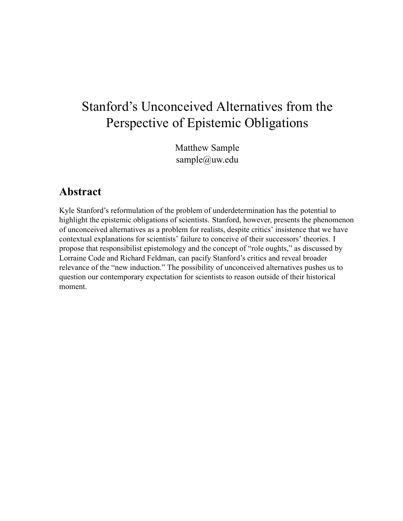# Stanford's Unconceived Alternatives from the Perspective of Epistemic Obligations

Matthew Sample sample@uw.edu

### **Abstract**

Kyle Stanford's reformulation of the problem of underdetermination has the potential to highlight the epistemic obligations of scientists. Stanford, however, presents the phenomenon of unconceived alternatives as a problem for realists, despite critics' insistence that we have contextual explanations for scientists' failure to conceive of their successors' theories. I propose that responsibilist epistemology and the concept of "role oughts," as discussed by Lorraine Code and Richard Feldman, can pacify Stanford's critics and reveal broader relevance of the "new induction." The possibility of unconceived alternatives pushes us to question our contemporary expectation for scientists to reason outside of their historical moment.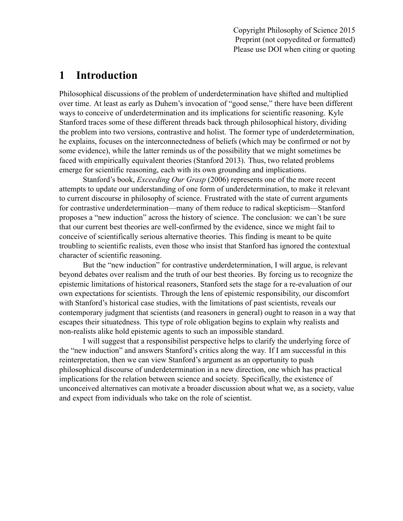#### **1 Introduction**

Philosophical discussions of the problem of underdetermination have shifted and multiplied over time. At least as early as Duhem's invocation of "good sense," there have been different ways to conceive of underdetermination and its implications for scientific reasoning. Kyle Stanford traces some of these different threads back through philosophical history, dividing the problem into two versions, contrastive and holist. The former type of underdetermination, he explains, focuses on the interconnectedness of beliefs (which may be confirmed or not by some evidence), while the latter reminds us of the possibility that we might sometimes be faced with empirically equivalent theories (Stanford 2013). Thus, two related problems emerge for scientific reasoning, each with its own grounding and implications.

Stanford's book, *Exceeding Our Grasp* (2006) represents one of the more recent attempts to update our understanding of one form of underdetermination, to make it relevant to current discourse in philosophy of science. Frustrated with the state of current arguments for contrastive underdetermination—many of them reduce to radical skepticism—Stanford proposes a "new induction" across the history of science. The conclusion: we can't be sure that our current best theories are well-confirmed by the evidence, since we might fail to conceive of scientifically serious alternative theories. This finding is meant to be quite troubling to scientific realists, even those who insist that Stanford has ignored the contextual character of scientific reasoning.

But the "new induction" for contrastive underdetermination, I will argue, is relevant beyond debates over realism and the truth of our best theories. By forcing us to recognize the epistemic limitations of historical reasoners, Stanford sets the stage for a re-evaluation of our own expectations for scientists. Through the lens of epistemic responsibility, our discomfort with Stanford's historical case studies, with the limitations of past scientists, reveals our contemporary judgment that scientists (and reasoners in general) ought to reason in a way that escapes their situatedness. This type of role obligation begins to explain why realists and non-realists alike hold epistemic agents to such an impossible standard.

I will suggest that a responsibilist perspective helps to clarify the underlying force of the "new induction" and answers Stanford's critics along the way. If I am successful in this reinterpretation, then we can view Stanford's argument as an opportunity to push philosophical discourse of underdetermination in a new direction, one which has practical implications for the relation between science and society. Specifically, the existence of unconceived alternatives can motivate a broader discussion about what we, as a society, value and expect from individuals who take on the role of scientist.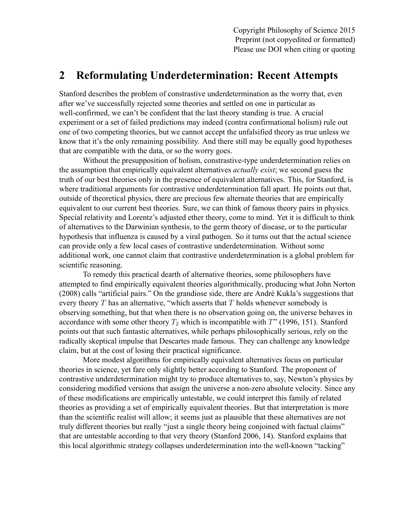#### **2 Reformulating Underdetermination: Recent Attempts**

Stanford describes the problem of constrastive underdetermination as the worry that, even after we've successfully rejected some theories and settled on one in particular as well-confirmed, we can't be confident that the last theory standing is true. A crucial experiment or a set of failed predictions may indeed (contra confirmational holism) rule out one of two competing theories, but we cannot accept the unfalsified theory as true unless we know that it's the only remaining possibility. And there still may be equally good hypotheses that are compatible with the data, or so the worry goes.

Without the presupposition of holism, constrastive-type underdetermination relies on the assumption that empirically equivalent alternatives *actually exist*; we second guess the truth of our best theories only in the presence of equivalent alternatives. This, for Stanford, is where traditional arguments for contrastive underdetermination fall apart. He points out that, outside of theoretical physics, there are precious few alternate theories that are empirically equivalent to our current best theories. Sure, we can think of famous theory pairs in physics. Special relativity and Lorentz's adjusted ether theory, come to mind. Yet it is difficult to think of alternatives to the Darwinian synthesis, to the germ theory of disease, or to the particular hypothesis that influenza is caused by a viral pathogen. So it turns out that the actual science can provide only a few local cases of contrastive underdetermination. Without some additional work, one cannot claim that contrastive underdetermination is a global problem for scientific reasoning.

To remedy this practical dearth of alternative theories, some philosophers have attempted to find empirically equivalent theories algorithmically, producing what John Norton (2008) calls "artificial pairs." On the grandiose side, there are Andrè Kukla's suggestions that every theory *T* has an alternative, "which asserts that *T* holds whenever somebody is observing something, but that when there is no observation going on, the universe behaves in accordance with some other theory  $T_2$  which is incompatible with  $T''$  (1996, 151). Stanford points out that such fantastic alternatives, while perhaps philosophically serious, rely on the radically skeptical impulse that Descartes made famous. They can challenge any knowledge claim, but at the cost of losing their practical significance.

More modest algorithms for empirically equivalent alternatives focus on particular theories in science, yet fare only slightly better according to Stanford. The proponent of contrastive underdetermination might try to produce alternatives to, say, Newton's physics by considering modified versions that assign the universe a non-zero absolute velocity. Since any of these modifications are empirically untestable, we could interpret this family of related theories as providing a set of empirically equivalent theories. But that interpretation is more than the scientific realist will allow; it seems just as plausible that these alternatives are not truly different theories but really "just a single theory being conjoined with factual claims" that are untestable according to that very theory (Stanford 2006, 14). Stanford explains that this local algorithmic strategy collapses underdetermination into the well-known "tacking"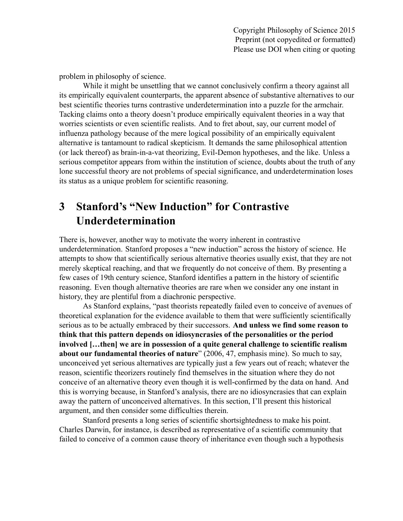problem in philosophy of science.

While it might be unsettling that we cannot conclusively confirm a theory against all its empirically equivalent counterparts, the apparent absence of substantive alternatives to our best scientific theories turns contrastive underdetermination into a puzzle for the armchair. Tacking claims onto a theory doesn't produce empirically equivalent theories in a way that worries scientists or even scientific realists. And to fret about, say, our current model of influenza pathology because of the mere logical possibility of an empirically equivalent alternative is tantamount to radical skepticism. It demands the same philosophical attention (or lack thereof) as brain-in-a-vat theorizing, Evil-Demon hypotheses, and the like. Unless a serious competitor appears from within the institution of science, doubts about the truth of any lone successful theory are not problems of special significance, and underdetermination loses its status as a unique problem for scientific reasoning.

# **3 Stanford's "New Induction" for Contrastive Underdetermination**

There is, however, another way to motivate the worry inherent in contrastive underdetermination. Stanford proposes a "new induction" across the history of science. He attempts to show that scientifically serious alternative theories usually exist, that they are not merely skeptical reaching, and that we frequently do not conceive of them. By presenting a few cases of 19th century science, Stanford identifies a pattern in the history of scientific reasoning. Even though alternative theories are rare when we consider any one instant in history, they are plentiful from a diachronic perspective.

As Stanford explains, "past theorists repeatedly failed even to conceive of avenues of theoretical explanation for the evidence available to them that were sufficiently scientifically serious as to be actually embraced by their successors. **And unless we find some reason to think that this pattern depends on idiosyncrasies of the personalities or the period involved […then] we are in possession of a quite general challenge to scientific realism about our fundamental theories of nature**" (2006, 47, emphasis mine). So much to say, unconceived yet serious alternatives are typically just a few years out of reach; whatever the reason, scientific theorizers routinely find themselves in the situation where they do not conceive of an alternative theory even though it is well-confirmed by the data on hand. And this is worrying because, in Stanford's analysis, there are no idiosyncrasies that can explain away the pattern of unconceived alternatives. In this section, I'll present this historical argument, and then consider some difficulties therein.

Stanford presents a long series of scientific shortsightedness to make his point. Charles Darwin, for instance, is described as representative of a scientific community that failed to conceive of a common cause theory of inheritance even though such a hypothesis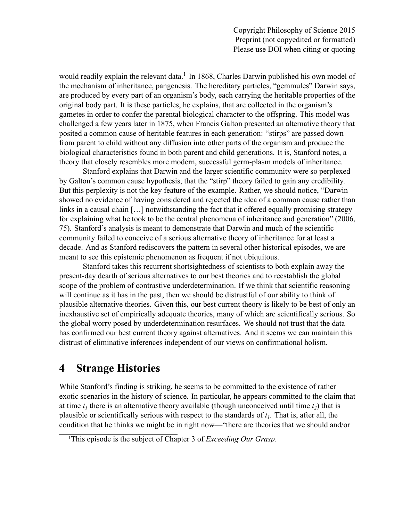would readily explain the relevant data.<sup>1</sup> In 1868, Charles Darwin published his own model of the mechanism of inheritance, pangenesis. The hereditary particles, "gemmules" Darwin says, are produced by every part of an organism's body, each carrying the heritable properties of the original body part. It is these particles, he explains, that are collected in the organism's gametes in order to confer the parental biological character to the offspring. This model was challenged a few years later in 1875, when Francis Galton presented an alternative theory that posited a common cause of heritable features in each generation: "stirps" are passed down from parent to child without any diffusion into other parts of the organism and produce the biological characteristics found in both parent and child generations. It is, Stanford notes, a theory that closely resembles more modern, successful germ-plasm models of inheritance.

Stanford explains that Darwin and the larger scientific community were so perplexed by Galton's common cause hypothesis, that the "stirp" theory failed to gain any credibility. But this perplexity is not the key feature of the example. Rather, we should notice, "Darwin showed no evidence of having considered and rejected the idea of a common cause rather than links in a causal chain [...] notwithstanding the fact that it offered equally promising strategy for explaining what he took to be the central phenomena of inheritance and generation" (2006, 75). Stanford's analysis is meant to demonstrate that Darwin and much of the scientific community failed to conceive of a serious alternative theory of inheritance for at least a decade. And as Stanford rediscovers the pattern in several other historical episodes, we are meant to see this epistemic phenomenon as frequent if not ubiquitous.

Stanford takes this recurrent shortsightedness of scientists to both explain away the present-day dearth of serious alternatives to our best theories and to reestablish the global scope of the problem of contrastive underdetermination. If we think that scientific reasoning will continue as it has in the past, then we should be distrustful of our ability to think of plausible alternative theories. Given this, our best current theory is likely to be best of only an inexhaustive set of empirically adequate theories, many of which are scientifically serious. So the global worry posed by underdetermination resurfaces. We should not trust that the data has confirmed our best current theory against alternatives. And it seems we can maintain this distrust of eliminative inferences independent of our views on confirmational holism.

## **4 Strange Histories**

While Stanford's finding is striking, he seems to be committed to the existence of rather exotic scenarios in the history of science. In particular, he appears committed to the claim that at time  $t_1$  there is an alternative theory available (though unconceived until time  $t_2$ ) that is plausible or scientifically serious with respect to the standards of *t<sup>1</sup>* . That is, after all, the condition that he thinks we might be in right now—"there are theories that we should and/or

<sup>1</sup>This episode is the subject of Chapter 3 of *Exceeding Our Grasp*.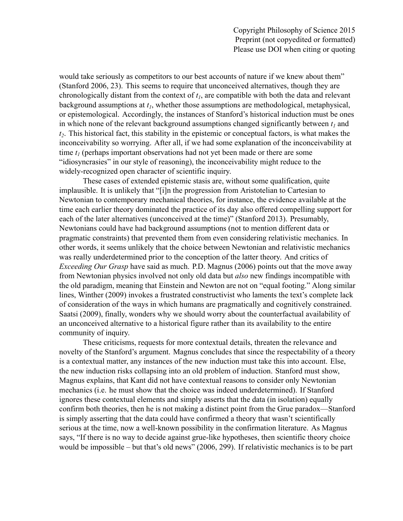would take seriously as competitors to our best accounts of nature if we knew about them" (Stanford 2006, 23). This seems to require that unconceived alternatives, though they are chronologically distant from the context of *t<sup>1</sup>* , are compatible with both the data and relevant background assumptions at *t<sup>1</sup>* , whether those assumptions are methodological, metaphysical, or epistemological. Accordingly, the instances of Stanford's historical induction must be ones in which none of the relevant background assumptions changed significantly between  $t<sub>l</sub>$  and *t2* . This historical fact, this stability in the epistemic or conceptual factors, is what makes the inconceivability so worrying. After all, if we had some explanation of the inconceivability at time *t<sup>1</sup>* (perhaps important observations had not yet been made or there are some "idiosyncrasies" in our style of reasoning), the inconceivability might reduce to the widely-recognized open character of scientific inquiry.

These cases of extended epistemic stasis are, without some qualification, quite implausible. It is unlikely that "[i]n the progression from Aristotelian to Cartesian to Newtonian to contemporary mechanical theories, for instance, the evidence available at the time each earlier theory dominated the practice of its day also offered compelling support for each of the later alternatives (unconceived at the time)" (Stanford 2013). Presumably, Newtonians could have had background assumptions (not to mention different data or pragmatic constraints) that prevented them from even considering relativistic mechanics. In other words, it seems unlikely that the choice between Newtonian and relativistic mechanics was really underdetermined prior to the conception of the latter theory. And critics of *Exceeding Our Grasp* have said as much. P.D. Magnus (2006) points out that the move away from Newtonian physics involved not only old data but *also* new findings incompatible with the old paradigm, meaning that Einstein and Newton are not on "equal footing." Along similar lines, Winther (2009) invokes a frustrated constructivist who laments the text's complete lack of consideration of the ways in which humans are pragmatically and cognitively constrained. Saatsi (2009), finally, wonders why we should worry about the counterfactual availability of an unconceived alternative to a historical figure rather than its availability to the entire community of inquiry.

These criticisms, requests for more contextual details, threaten the relevance and novelty of the Stanford's argument. Magnus concludes that since the respectability of a theory is a contextual matter, any instances of the new induction must take this into account. Else, the new induction risks collapsing into an old problem of induction. Stanford must show, Magnus explains, that Kant did not have contextual reasons to consider only Newtonian mechanics (i.e. he must show that the choice was indeed underdetermined). If Stanford ignores these contextual elements and simply asserts that the data (in isolation) equally confirm both theories, then he is not making a distinct point from the Grue paradox—Stanford is simply asserting that the data could have confirmed a theory that wasn't scientifically serious at the time, now a well-known possibility in the confirmation literature. As Magnus says, "If there is no way to decide against grue-like hypotheses, then scientific theory choice would be impossible – but that's old news" (2006, 299). If relativistic mechanics is to be part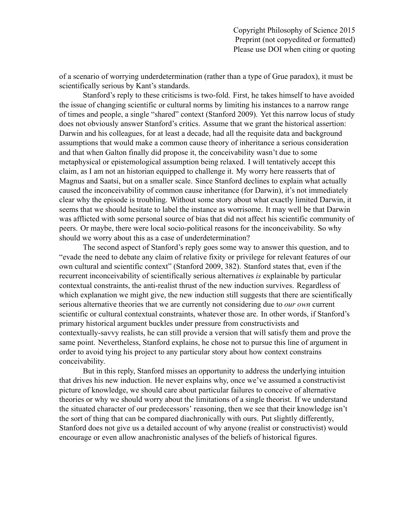of a scenario of worrying underdetermination (rather than a type of Grue paradox), it must be scientifically serious by Kant's standards.

Stanford's reply to these criticisms is two-fold. First, he takes himself to have avoided the issue of changing scientific or cultural norms by limiting his instances to a narrow range of times and people, a single "shared" context (Stanford 2009). Yet this narrow locus of study does not obviously answer Stanford's critics. Assume that we grant the historical assertion: Darwin and his colleagues, for at least a decade, had all the requisite data and background assumptions that would make a common cause theory of inheritance a serious consideration and that when Galton finally did propose it, the conceivability wasn't due to some metaphysical or epistemological assumption being relaxed. I will tentatively accept this claim, as I am not an historian equipped to challenge it. My worry here reasserts that of Magnus and Saatsi, but on a smaller scale. Since Stanford declines to explain what actually caused the inconceivability of common cause inheritance (for Darwin), it's not immediately clear why the episode is troubling. Without some story about what exactly limited Darwin, it seems that we should hesitate to label the instance as worrisome. It may well be that Darwin was afflicted with some personal source of bias that did not affect his scientific community of peers. Or maybe, there were local socio-political reasons for the inconceivability. So why should we worry about this as a case of underdetermination?

The second aspect of Stanford's reply goes some way to answer this question, and to "evade the need to debate any claim of relative fixity or privilege for relevant features of our own cultural and scientific context" (Stanford 2009, 382). Stanford states that, even if the recurrent inconceivability of scientifically serious alternatives *is* explainable by particular contextual constraints, the anti-realist thrust of the new induction survives. Regardless of which explanation we might give, the new induction still suggests that there are scientifically serious alternative theories that we are currently not considering due to *our own* current scientific or cultural contextual constraints, whatever those are. In other words, if Stanford's primary historical argument buckles under pressure from constructivists and contextually-savvy realists, he can still provide a version that will satisfy them and prove the same point. Nevertheless, Stanford explains, he chose not to pursue this line of argument in order to avoid tying his project to any particular story about how context constrains conceivability.

But in this reply, Stanford misses an opportunity to address the underlying intuition that drives his new induction. He never explains why, once we've assumed a constructivist picture of knowledge, we should care about particular failures to conceive of alternative theories or why we should worry about the limitations of a single theorist. If we understand the situated character of our predecessors' reasoning, then we see that their knowledge isn't the sort of thing that can be compared diachronically with ours. Put slightly differently, Stanford does not give us a detailed account of why anyone (realist or constructivist) would encourage or even allow anachronistic analyses of the beliefs of historical figures.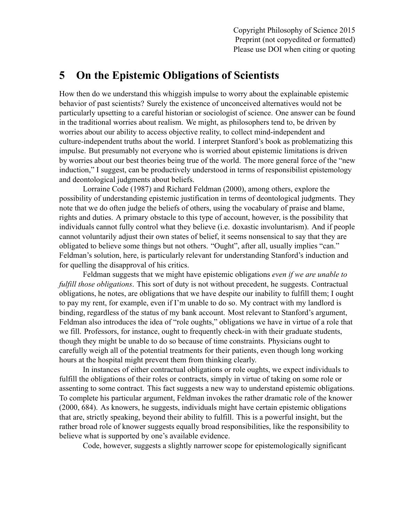### **5 On the Epistemic Obligations of Scientists**

How then do we understand this whiggish impulse to worry about the explainable epistemic behavior of past scientists? Surely the existence of unconceived alternatives would not be particularly upsetting to a careful historian or sociologist of science. One answer can be found in the traditional worries about realism. We might, as philosophers tend to, be driven by worries about our ability to access objective reality, to collect mind-independent and culture-independent truths about the world. I interpret Stanford's book as problematizing this impulse. But presumably not everyone who is worried about epistemic limitations is driven by worries about our best theories being true of the world. The more general force of the "new induction," I suggest, can be productively understood in terms of responsibilist epistemology and deontological judgments about beliefs.

Lorraine Code (1987) and Richard Feldman (2000), among others, explore the possibility of understanding epistemic justification in terms of deontological judgments. They note that we do often judge the beliefs of others, using the vocabulary of praise and blame, rights and duties. A primary obstacle to this type of account, however, is the possibility that individuals cannot fully control what they believe (i.e. doxastic involuntarism). And if people cannot voluntarily adjust their own states of belief, it seems nonsensical to say that they are obligated to believe some things but not others. "Ought", after all, usually implies "can." Feldman's solution, here, is particularly relevant for understanding Stanford's induction and for quelling the disapproval of his critics.

Feldman suggests that we might have epistemic obligations *even if we are unable to fulfill those obligations*. This sort of duty is not without precedent, he suggests. Contractual obligations, he notes, are obligations that we have despite our inability to fulfill them; I ought to pay my rent, for example, even if I'm unable to do so. My contract with my landlord is binding, regardless of the status of my bank account. Most relevant to Stanford's argument, Feldman also introduces the idea of "role oughts," obligations we have in virtue of a role that we fill. Professors, for instance, ought to frequently check-in with their graduate students, though they might be unable to do so because of time constraints. Physicians ought to carefully weigh all of the potential treatments for their patients, even though long working hours at the hospital might prevent them from thinking clearly.

In instances of either contractual obligations or role oughts, we expect individuals to fulfill the obligations of their roles or contracts, simply in virtue of taking on some role or assenting to some contract. This fact suggests a new way to understand epistemic obligations. To complete his particular argument, Feldman invokes the rather dramatic role of the knower (2000, 684). As knowers, he suggests, individuals might have certain epistemic obligations that are, strictly speaking, beyond their ability to fulfill. This is a powerful insight, but the rather broad role of knower suggests equally broad responsibilities, like the responsibility to believe what is supported by one's available evidence.

Code, however, suggests a slightly narrower scope for epistemologically significant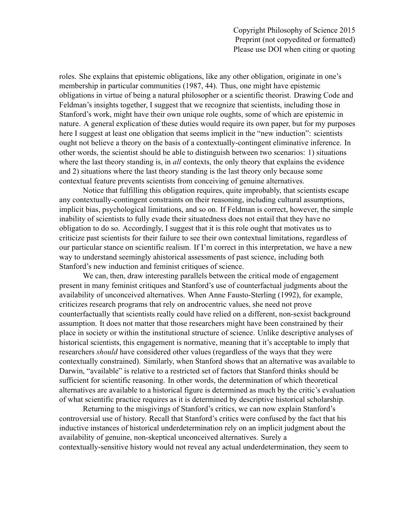roles. She explains that epistemic obligations, like any other obligation, originate in one's membership in particular communities (1987, 44). Thus, one might have epistemic obligations in virtue of being a natural philosopher or a scientific theorist. Drawing Code and Feldman's insights together, I suggest that we recognize that scientists, including those in Stanford's work, might have their own unique role oughts, some of which are epistemic in nature. A general explication of these duties would require its own paper, but for my purposes here I suggest at least one obligation that seems implicit in the "new induction": scientists ought not believe a theory on the basis of a contextually-contingent eliminative inference. In other words, the scientist should be able to distinguish between two scenarios: 1) situations where the last theory standing is, in *all* contexts, the only theory that explains the evidence and 2) situations where the last theory standing is the last theory only because some contextual feature prevents scientists from conceiving of genuine alternatives.

Notice that fulfilling this obligation requires, quite improbably, that scientists escape any contextually-contingent constraints on their reasoning, including cultural assumptions, implicit bias, psychological limitations, and so on. If Feldman is correct, however, the simple inability of scientists to fully evade their situatedness does not entail that they have no obligation to do so. Accordingly, I suggest that it is this role ought that motivates us to criticize past scientists for their failure to see their own contextual limitations, regardless of our particular stance on scientific realism. If I'm correct in this interpretation, we have a new way to understand seemingly ahistorical assessments of past science, including both Stanford's new induction and feminist critiques of science.

We can, then, draw interesting parallels between the critical mode of engagement present in many feminist critiques and Stanford's use of counterfactual judgments about the availability of unconceived alternatives. When Anne Fausto-Sterling (1992), for example, criticizes research programs that rely on androcentric values, she need not prove counterfactually that scientists really could have relied on a different, non-sexist background assumption. It does not matter that those researchers might have been constrained by their place in society or within the institutional structure of science. Unlike descriptive analyses of historical scientists, this engagement is normative, meaning that it's acceptable to imply that researchers *should* have considered other values (regardless of the ways that they were contextually constrained). Similarly, when Stanford shows that an alternative was available to Darwin, "available" is relative to a restricted set of factors that Stanford thinks should be sufficient for scientific reasoning. In other words, the determination of which theoretical alternatives are available to a historical figure is determined as much by the critic's evaluation of what scientific practice requires as it is determined by descriptive historical scholarship.

Returning to the misgivings of Stanford's critics, we can now explain Stanford's controversial use of history. Recall that Stanford's critics were confused by the fact that his inductive instances of historical underdetermination rely on an implicit judgment about the availability of genuine, non-skeptical unconceived alternatives. Surely a contextually-sensitive history would not reveal any actual underdetermination, they seem to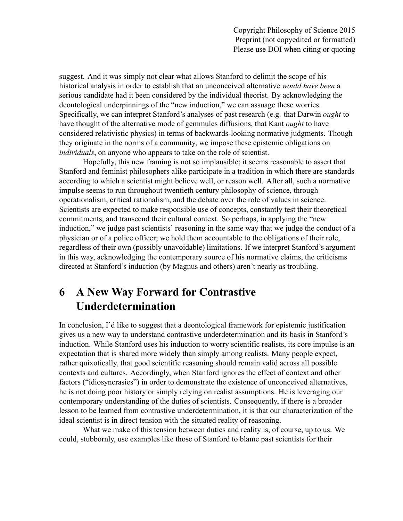suggest. And it was simply not clear what allows Stanford to delimit the scope of his historical analysis in order to establish that an unconceived alternative *would have been* a serious candidate had it been considered by the individual theorist. By acknowledging the deontological underpinnings of the "new induction," we can assuage these worries. Specifically, we can interpret Stanford's analyses of past research (e.g. that Darwin *ought* to have thought of the alternative mode of gemmules diffusions, that Kant *ought* to have considered relativistic physics) in terms of backwards-looking normative judgments. Though they originate in the norms of a community, we impose these epistemic obligations on *individuals*, on anyone who appears to take on the role of scientist.

Hopefully, this new framing is not so implausible; it seems reasonable to assert that Stanford and feminist philosophers alike participate in a tradition in which there are standards according to which a scientist might believe well, or reason well. After all, such a normative impulse seems to run throughout twentieth century philosophy of science, through operationalism, critical rationalism, and the debate over the role of values in science. Scientists are expected to make responsible use of concepts, constantly test their theoretical commitments, and transcend their cultural context. So perhaps, in applying the "new induction," we judge past scientists' reasoning in the same way that we judge the conduct of a physician or of a police officer; we hold them accountable to the obligations of their role, regardless of their own (possibly unavoidable) limitations. If we interpret Stanford's argument in this way, acknowledging the contemporary source of his normative claims, the criticisms directed at Stanford's induction (by Magnus and others) aren't nearly as troubling.

# **6 A New Way Forward for Contrastive Underdetermination**

In conclusion, I'd like to suggest that a deontological framework for epistemic justification gives us a new way to understand contrastive underdetermination and its basis in Stanford's induction. While Stanford uses his induction to worry scientific realists, its core impulse is an expectation that is shared more widely than simply among realists. Many people expect, rather quixotically, that good scientific reasoning should remain valid across all possible contexts and cultures. Accordingly, when Stanford ignores the effect of context and other factors ("idiosyncrasies") in order to demonstrate the existence of unconceived alternatives, he is not doing poor history or simply relying on realist assumptions. He is leveraging our contemporary understanding of the duties of scientists. Consequently, if there is a broader lesson to be learned from contrastive underdetermination, it is that our characterization of the ideal scientist is in direct tension with the situated reality of reasoning.

What we make of this tension between duties and reality is, of course, up to us. We could, stubbornly, use examples like those of Stanford to blame past scientists for their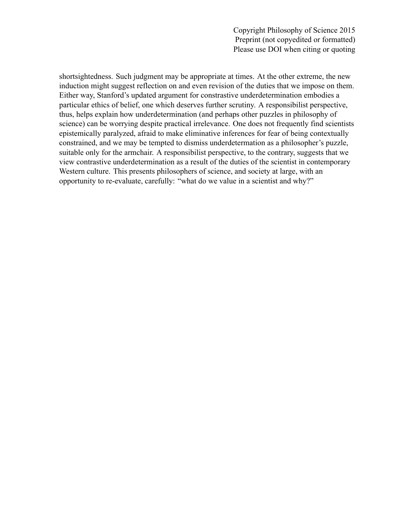shortsightedness. Such judgment may be appropriate at times. At the other extreme, the new induction might suggest reflection on and even revision of the duties that we impose on them. Either way, Stanford's updated argument for constrastive underdetermination embodies a particular ethics of belief, one which deserves further scrutiny. A responsibilist perspective, thus, helps explain how underdetermination (and perhaps other puzzles in philosophy of science) can be worrying despite practical irrelevance. One does not frequently find scientists epistemically paralyzed, afraid to make eliminative inferences for fear of being contextually constrained, and we may be tempted to dismiss underdetermation as a philosopher's puzzle, suitable only for the armchair. A responsibilist perspective, to the contrary, suggests that we view contrastive underdetermination as a result of the duties of the scientist in contemporary Western culture. This presents philosophers of science, and society at large, with an opportunity to re-evaluate, carefully: "what do we value in a scientist and why?"